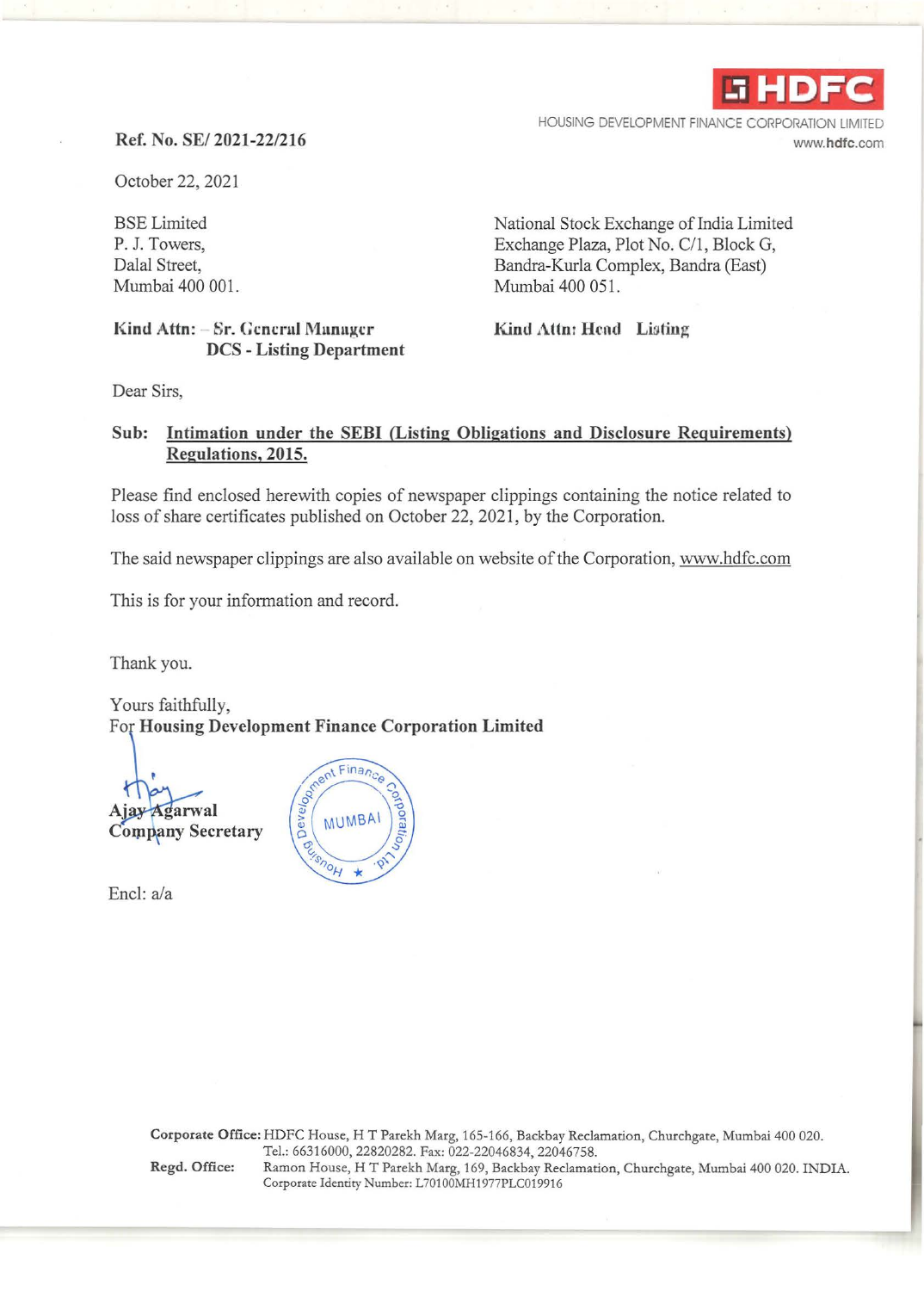

HOUSING DEVELOPMENT FINANCE CORPORATION www.hdfc.com

## **Ref. No.** SE/ **2021-22/216**

October 22, 2021

BSE Limited P. J. Towers, Dalal Street, Mumbai 400 001.

National Stock Exchange of India Limited Exchange Plaza, Plot No. C/1, Block G, Bandra-Kurla Complex, Bandra (East) Mumbai 400 051.

Kind Attn: - Sr. General Manager **DCS - Listing Department**  **Kind Attn: Hend Listing** 

Dear Sirs,

## **Sub: Intimation under the SEBI (Listing Obligations and Disclosure Requirements) Regulations, 2015.**

Please find enclosed herewith copies of newspaper clippings containing the notice related to loss of share certificates published on October 22, 2021, by the Corporation.

The said newspaper clippings are also available on website of the Corporation, www.hdfc.com

This is for your information and record.

Thank you.

Yours faithfully,

arwal **Company Secretary** 

Encl: a/a



Corporate Office: HDFC House, HT Parekh Marg, 165-166, Backbay Reclamation, Churchgate, Mumbai 400 020. Tel.: 66316000, 22820282. Fax: 022-22046834, 22046758. Regd. Office: Ramon House, HT Parekh Marg, 169, Backbay Reclamation, Churchgate, Mumbai 400 020. INDIA. Corporate Identity Number: L70100MH1977PLC019916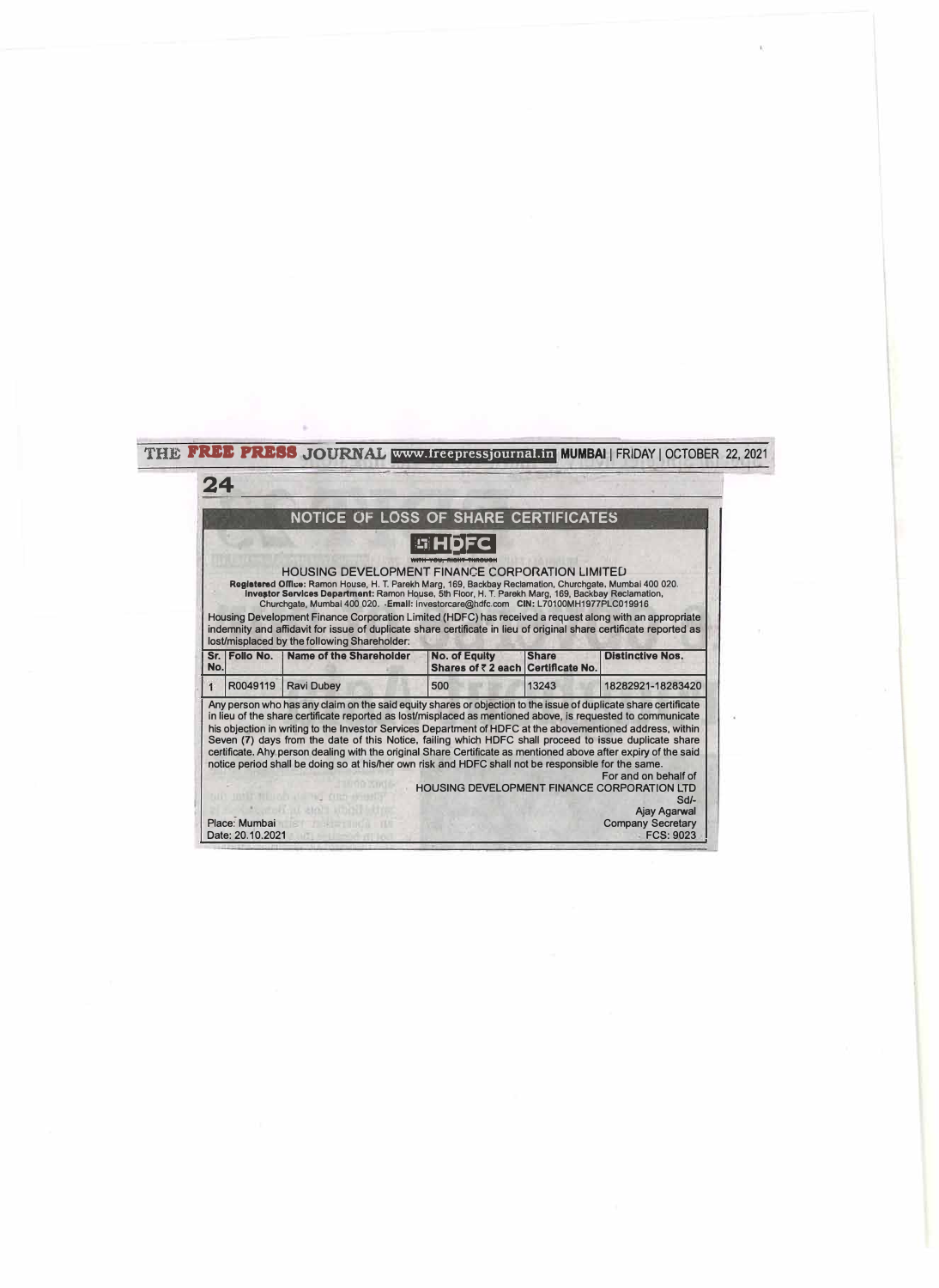| 24  |               |                                                                                                                                                                                                                                                                                                                                                                                                                                                                                                                                                                                                    |                                                            |              |                         |
|-----|---------------|----------------------------------------------------------------------------------------------------------------------------------------------------------------------------------------------------------------------------------------------------------------------------------------------------------------------------------------------------------------------------------------------------------------------------------------------------------------------------------------------------------------------------------------------------------------------------------------------------|------------------------------------------------------------|--------------|-------------------------|
|     |               | NOTICE OF LOSS OF SHARE CERTIFICATES                                                                                                                                                                                                                                                                                                                                                                                                                                                                                                                                                               |                                                            |              |                         |
|     |               |                                                                                                                                                                                                                                                                                                                                                                                                                                                                                                                                                                                                    |                                                            |              |                         |
|     |               | <b>HOUSING DEVELOPMENT FINANCE CORPORATION LIMITED</b><br>Registsred Office: Ramon House, H. T. Parekh Marg, 169, Backbay Reclamation, Churchgate, Mumbai 400 020.<br>Investor Services Department: Ramon House, 5th Floor, H. T. Parekh Marg, 169, Backbay Reclamation,<br>Churchgate, Mumbai 400 020. - Email: investorcare@hdfc.com CIN: L70100MH1977PLC019916<br>Housing Development Finance Corporation Limited (HDFC) has received a request along with an appropriate<br>indemnity and affidavit for issue of duplicate share certificate in lieu of original share certificate reported as |                                                            |              |                         |
| No. | Sr. Follo No. | lost/misplaced by the following Shareholder:<br>Name of the Shareholder                                                                                                                                                                                                                                                                                                                                                                                                                                                                                                                            | <b>No. of Equity</b><br>Shares of ₹ 2 each Certificate No. | <b>Share</b> | <b>Distinctive Nos.</b> |
|     | R0049119      | <b>Ravi Dubey</b>                                                                                                                                                                                                                                                                                                                                                                                                                                                                                                                                                                                  | 500                                                        | 13243        | 18282921-18283420       |
|     |               | Any person who has any claim on the said equity shares or objection to the issue of duplicate share certificate                                                                                                                                                                                                                                                                                                                                                                                                                                                                                    |                                                            |              |                         |